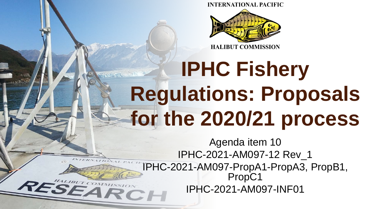**INTERNATIONAL PACIFIC** 



#### **IPHC Fishery**  STANDARY **Regulations: Proposals for the 2020/21 process**

Agenda item 10 IPHC-2021-AM097-12 Rev\_1 IPHC-2021-AM097-PropA1-PropA3, PropB1, PropC1 RESEARCH IPHC-2021-AM097-INF01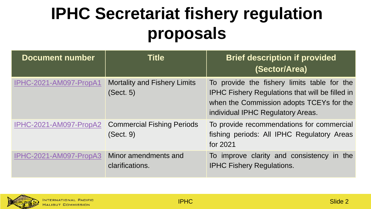## **IPHC Secretariat fishery regulation proposals**

| <b>Document number</b> | <b>Title</b>                                     | <b>Brief description if provided</b><br>(Sector/Area)                                                                                                                                  |
|------------------------|--------------------------------------------------|----------------------------------------------------------------------------------------------------------------------------------------------------------------------------------------|
| IPHC-2021-AM097-PropA1 | <b>Mortality and Fishery Limits</b><br>(Sect. 5) | To provide the fishery limits table for the<br><b>IPHC Fishery Regulations that will be filled in</b><br>when the Commission adopts TCEYs for the<br>individual IPHC Regulatory Areas. |
| IPHC-2021-AM097-PropA2 | <b>Commercial Fishing Periods</b><br>(Sect. 9)   | To provide recommendations for commercial<br>fishing periods: All IPHC Regulatory Areas<br>for 2021                                                                                    |
| IPHC-2021-AM097-PropA3 | Minor amendments and<br>clarifications.          | To improve clarity and consistency in the<br><b>IPHC Fishery Regulations.</b>                                                                                                          |

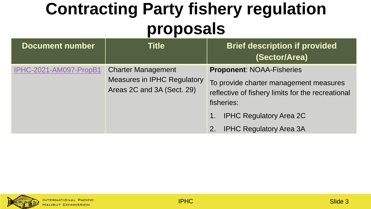### **Contracting Party fishery regulation proposals**

| <b>Document number</b>        | Title                                                                                         | <b>Brief description if provided</b><br>(Sector/Area)                                                                                         |
|-------------------------------|-----------------------------------------------------------------------------------------------|-----------------------------------------------------------------------------------------------------------------------------------------------|
| <b>IPHC-2021-AM097-PropB1</b> | <b>Charter Management</b><br><b>Measures in IPHC Regulatory</b><br>Areas 2C and 3A (Sect. 29) | <b>Proponent: NOAA-Fisheries</b><br>To provide charter management measures<br>reflective of fishery limits for the recreational<br>fisheries: |
|                               |                                                                                               | <b>IPHC Regulatory Area 2C</b><br>1.<br><b>IPHC Regulatory Area 3A</b><br>2.                                                                  |

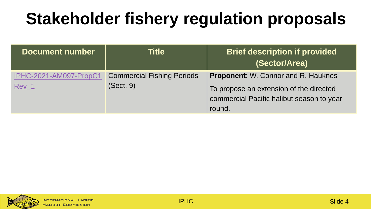# **Stakeholder fishery regulation proposals**

| <b>Document number</b>                     | Title                                          | <b>Brief description if provided</b><br>(Sector/Area)                                                                                        |
|--------------------------------------------|------------------------------------------------|----------------------------------------------------------------------------------------------------------------------------------------------|
| IPHC-2021-AM097-PropC1<br>Rev <sub>1</sub> | <b>Commercial Fishing Periods</b><br>(Sect. 9) | <b>Proponent:</b> W. Connor and R. Hauknes<br>To propose an extension of the directed<br>commercial Pacific halibut season to year<br>round. |

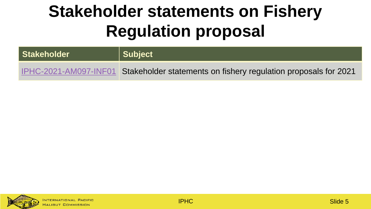# **Stakeholder statements on Fishery Regulation proposal**

| Stakeholder | Subject                                                                               |
|-------------|---------------------------------------------------------------------------------------|
|             | IPHC-2021-AM097-INF01 Stakeholder statements on fishery regulation proposals for 2021 |